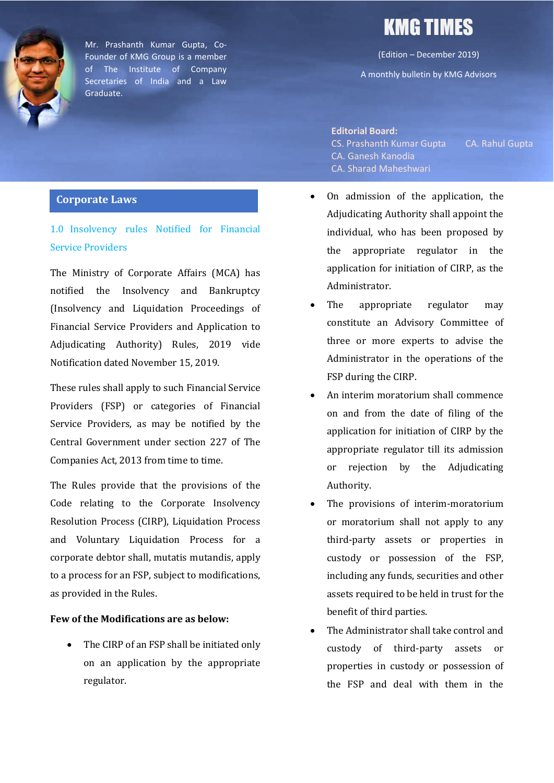

Mr. Prashanth Kumar Gupta, Co-Founder of KMG Group is a member of The Institute of Company Secretaries of India and a Law Graduate.

### **Corporate Laws**

1.0 Insolvency rules Notified for Financial Service Providers

The Ministry of Corporate Affairs (MCA) has notified the Insolvency and Bankruptcy (Insolvency and Liquidation Proceedings of Financial Service Providers and Application to Adjudicating Authority) Rules, 2019 vide Notification dated November 15, 2019.

These rules shall apply to such Financial Service Providers (FSP) or categories of Financial Service Providers, as may be notified by the Central Government under section 227 of The Companies Act, 2013 from time to time.

The Rules provide that the provisions of the Code relating to the Corporate Insolvency Resolution Process (CIRP), Liquidation Process and Voluntary Liquidation Process for a corporate debtor shall, mutatis mutandis, apply to a process for an FSP, subject to modifications, as provided in the Rules.

### **Few of the Modifications are as below:**

• The CIRP of an FSP shall be initiated only on an application by the appropriate regulator.

# KMG TIMES

(Edition – December 2019)

A monthly bulletin by KMG Advisors

**Editorial Board:** CS. Prashanth Kumar Gupta CA. Rahul Gupta CA. Ganesh Kanodia CA. Sharad Maheshwari

- On admission of the application, the Adjudicating Authority shall appoint the individual, who has been proposed by the appropriate regulator in the application for initiation of CIRP, as the Administrator.
- The appropriate regulator may constitute an Advisory Committee of three or more experts to advise the Administrator in the operations of the FSP during the CIRP.
- An interim moratorium shall commence on and from the date of filing of the application for initiation of CIRP by the appropriate regulator till its admission or rejection by the Adjudicating Authority.
- The provisions of interim-moratorium or moratorium shall not apply to any third-party assets or properties in custody or possession of the FSP, including any funds, securities and other assets required to be held in trust for the benefit of third parties.
- The Administrator shall take control and custody of third-party assets or properties in custody or possession of the FSP and deal with them in the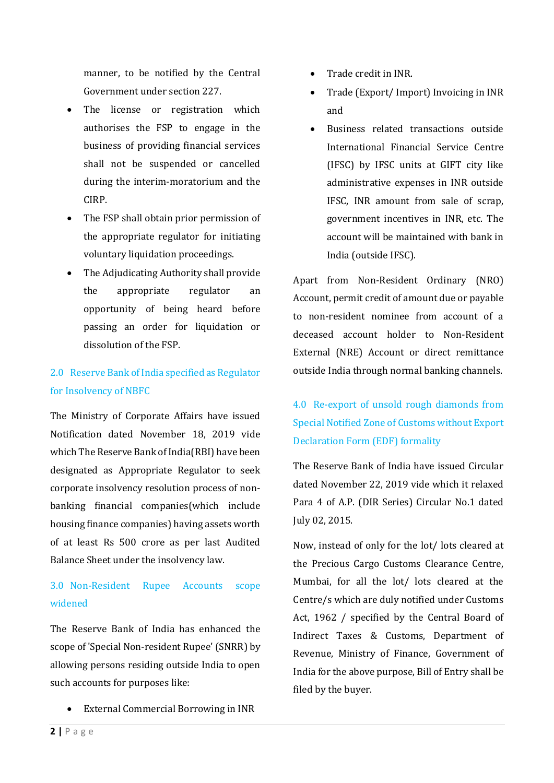manner, to be notified by the Central Government under section 227.

- The license or registration which authorises the FSP to engage in the business of providing financial services shall not be suspended or cancelled during the interim-moratorium and the CIRP.
- The FSP shall obtain prior permission of the appropriate regulator for initiating voluntary liquidation proceedings.
- The Adjudicating Authority shall provide the appropriate regulator an opportunity of being heard before passing an order for liquidation or dissolution of the FSP.

### 2.0 Reserve Bank of India specified as Regulator for Insolvency of NBFC

The Ministry of Corporate Affairs have issued Notification dated November 18, 2019 vide which The Reserve Bank of India(RBI) have been designated as Appropriate Regulator to seek corporate insolvency resolution process of nonbanking financial companies(which include housing finance companies) having assets worth of at least Rs 500 crore as per last Audited Balance Sheet under the insolvency law.

# 3.0 Non-Resident Rupee Accounts scope widened

The Reserve Bank of India has enhanced the scope of 'Special Non-resident Rupee' (SNRR) by allowing persons residing outside India to open such accounts for purposes like:

• External Commercial Borrowing in INR

- Trade credit in INR.
- Trade (Export/ Import) Invoicing in INR and
- Business related transactions outside International Financial Service Centre (IFSC) by IFSC units at GIFT city like administrative expenses in INR outside IFSC, INR amount from sale of scrap, government incentives in INR, etc. The account will be maintained with bank in India (outside IFSC).

Apart from Non-Resident Ordinary (NRO) Account, permit credit of amount due or payable to non-resident nominee from account of a deceased account holder to Non-Resident External (NRE) Account or direct remittance outside India through normal banking channels.

# 4.0 Re-export of unsold rough diamonds from Special Notified Zone of Customs without Export Declaration Form (EDF) formality

The Reserve Bank of India have issued Circular dated November 22, 2019 vide which it relaxed Para 4 of A.P. (DIR Series) Circular No.1 dated July 02, 2015.

Now, instead of only for the lot/ lots cleared at the Precious Cargo Customs Clearance Centre, Mumbai, for all the lot/ lots cleared at the Centre/s which are duly notified under Customs Act, 1962 / specified by the Central Board of Indirect Taxes & Customs, Department of Revenue, Ministry of Finance, Government of India for the above purpose, Bill of Entry shall be filed by the buyer.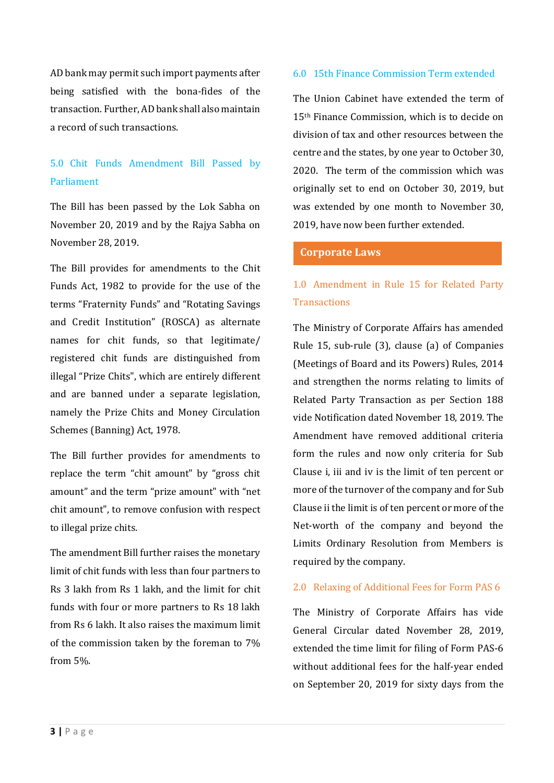AD bank may permit such import payments after being satisfied with the bona-fides of the transaction. Further, AD bank shall also maintain a record of such transactions.

### 5.0 Chit Funds Amendment Bill Passed by Parliament

The Bill has been passed by the Lok Sabha on November 20, 2019 and by the Rajya Sabha on November 28, 2019.

The Bill provides for amendments to the Chit Funds Act, 1982 to provide for the use of the terms "Fraternity Funds" and "Rotating Savings and Credit Institution" (ROSCA) as alternate names for chit funds, so that legitimate/ registered chit funds are distinguished from illegal "Prize Chits", which are entirely different and are banned under a separate legislation, namely the Prize Chits and Money Circulation Schemes (Banning) Act, 1978.

The Bill further provides for amendments to replace the term "chit amount" by "gross chit amount" and the term "prize amount" with "net chit amount", to remove confusion with respect to illegal prize chits.

The amendment Bill further raises the monetary limit of chit funds with less than four partners to Rs 3 lakh from Rs 1 lakh, and the limit for chit funds with four or more partners to Rs 18 lakh from Rs 6 lakh. It also raises the maximum limit of the commission taken by the foreman to 7% from 5%.

### 6.0 15th Finance Commission Term extended

The Union Cabinet have extended the term of 15th Finance Commission, which is to decide on division of tax and other resources between the centre and the states, by one year to October 30, 2020. The term of the commission which was originally set to end on October 30, 2019, but was extended by one month to November 30, 2019, have now been further extended.

#### **Corporate Laws**

### 1.0 Amendment in Rule 15 for Related Party **Transactions**

The Ministry of Corporate Affairs has amended Rule 15, sub-rule (3), clause (a) of Companies (Meetings of Board and its Powers) Rules, 2014 and strengthen the norms relating to limits of Related Party Transaction as per Section 188 vide Notification dated November 18, 2019. The Amendment have removed additional criteria form the rules and now only criteria for Sub Clause i, iii and iv is the limit of ten percent or more of the turnover of the company and for Sub Clause ii the limit is of ten percent or more of the Net-worth of the company and beyond the Limits Ordinary Resolution from Members is required by the company.

#### 2.0 Relaxing of Additional Fees for Form PAS 6

The Ministry of Corporate Affairs has vide General Circular dated November 28, 2019, extended the time limit for filing of Form PAS-6 without additional fees for the half-year ended on September 20, 2019 for sixty days from the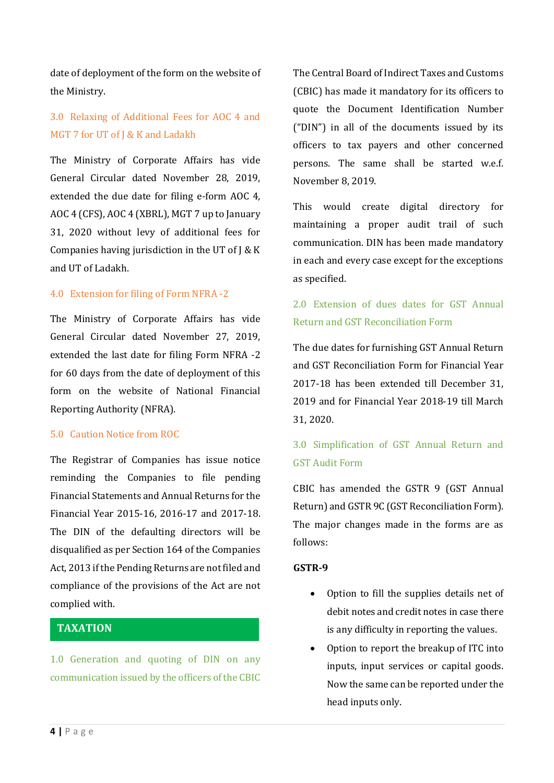date of deployment of the form on the website of the Ministry.

### 3.0 Relaxing of Additional Fees for AOC 4 and MGT 7 for UT of J & K and Ladakh

The Ministry of Corporate Affairs has vide General Circular dated November 28, 2019, extended the due date for filing e-form AOC 4, AOC 4 (CFS), AOC 4 (XBRL), MGT 7 up to January 31, 2020 without levy of additional fees for Companies having jurisdiction in the UT of  $J \& K$ and UT of Ladakh.

#### 4.0 Extension for filing of Form NFRA -2

The Ministry of Corporate Affairs has vide General Circular dated November 27, 2019, extended the last date for filing Form NFRA -2 for 60 days from the date of deployment of this form on the website of National Financial Reporting Authority (NFRA).

#### 5.0 Caution Notice from ROC

The Registrar of Companies has issue notice reminding the Companies to file pending Financial Statements and Annual Returns for the Financial Year 2015-16, 2016-17 and 2017-18. The DIN of the defaulting directors will be disqualified as per Section 164 of the Companies Act, 2013 if the Pending Returns are not filed and compliance of the provisions of the Act are not complied with.

### **TAXATION**

1.0 Generation and quoting of DIN on any communication issued by the officers of the CBIC

The Central Board of Indirect Taxes and Customs (CBIC) has made it mandatory for its officers to quote the Document Identification Number ("DIN") in all of the documents issued by its officers to tax payers and other concerned persons. The same shall be started w.e.f. November 8, 2019.

This would create digital directory for maintaining a proper audit trail of such communication. DIN has been made mandatory in each and every case except for the exceptions as specified.

# 2.0 Extension of dues dates for GST Annual Return and GST Reconciliation Form

The due dates for furnishing GST Annual Return and GST Reconciliation Form for Financial Year 2017-18 has been extended till December 31, 2019 and for Financial Year 2018-19 till March 31, 2020.

# 3.0 Simplification of GST Annual Return and GST Audit Form

CBIC has amended the GSTR 9 (GST Annual Return) and GSTR 9C (GST Reconciliation Form). The major changes made in the forms are as follows:

#### **GSTR-9**

- Option to fill the supplies details net of debit notes and credit notes in case there is any difficulty in reporting the values.
- Option to report the breakup of ITC into inputs, input services or capital goods. Now the same can be reported under the head inputs only.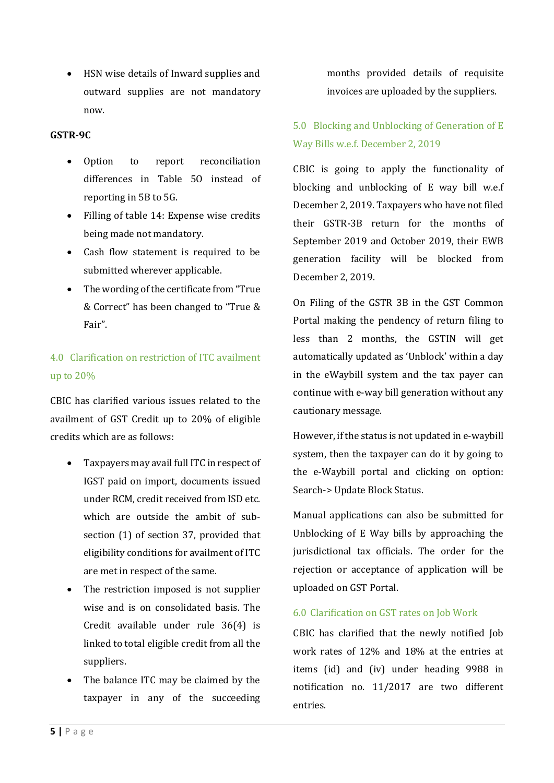• HSN wise details of Inward supplies and outward supplies are not mandatory now.

### **GSTR-9C**

- Option to report reconciliation differences in Table 5O instead of reporting in 5B to 5G.
- Filling of table 14: Expense wise credits being made not mandatory.
- Cash flow statement is required to be submitted wherever applicable.
- The wording of the certificate from "True & Correct" has been changed to "True & Fair".

# 4.0 Clarification on restriction of ITC availment up to 20%

CBIC has clarified various issues related to the availment of GST Credit up to 20% of eligible credits which are as follows:

- Taxpayers may avail full ITC in respect of IGST paid on import, documents issued under RCM, credit received from ISD etc. which are outside the ambit of subsection (1) of section 37, provided that eligibility conditions for availment of ITC are met in respect of the same.
- The restriction imposed is not supplier wise and is on consolidated basis. The Credit available under rule 36(4) is linked to total eligible credit from all the suppliers.
- The balance ITC may be claimed by the taxpayer in any of the succeeding

months provided details of requisite invoices are uploaded by the suppliers.

# 5.0 Blocking and Unblocking of Generation of E Way Bills w.e.f. December 2, 2019

CBIC is going to apply the functionality of blocking and unblocking of E way bill w.e.f December 2, 2019. Taxpayers who have not filed their GSTR-3B return for the months of September 2019 and October 2019, their EWB generation facility will be blocked from December 2, 2019.

On Filing of the GSTR 3B in the GST Common Portal making the pendency of return filing to less than 2 months, the GSTIN will get automatically updated as 'Unblock' within a day in the eWaybill system and the tax payer can continue with e-way bill generation without any cautionary message.

However, if the status is not updated in e-waybill system, then the taxpayer can do it by going to the e-Waybill portal and clicking on option: Search-> Update Block Status.

Manual applications can also be submitted for Unblocking of E Way bills by approaching the jurisdictional tax officials. The order for the rejection or acceptance of application will be uploaded on GST Portal.

### 6.0 Clarification on GST rates on Job Work

CBIC has clarified that the newly notified Job work rates of 12% and 18% at the entries at items (id) and (iv) under heading 9988 in notification no. 11/2017 are two different entries.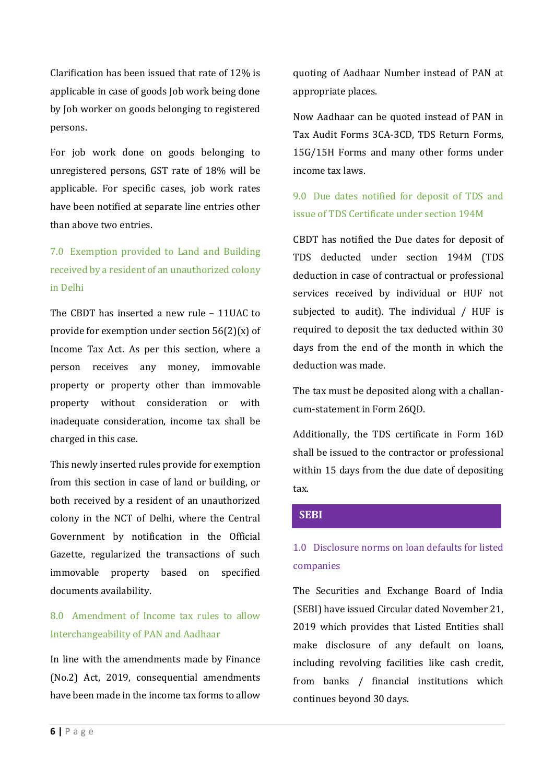Clarification has been issued that rate of 12% is applicable in case of goods Job work being done by Job worker on goods belonging to registered persons.

For job work done on goods belonging to unregistered persons, GST rate of 18% will be applicable. For specific cases, job work rates have been notified at separate line entries other than above two entries.

# 7.0 Exemption provided to Land and Building received by a resident of an unauthorized colony in Delhi

The CBDT has inserted a new rule – 11UAC to provide for exemption under section 56(2)(x) of Income Tax Act. As per this section, where a person receives any money, immovable property or property other than immovable property without consideration or with inadequate consideration, income tax shall be charged in this case.

This newly inserted rules provide for exemption from this section in case of land or building, or both received by a resident of an unauthorized colony in the NCT of Delhi, where the Central Government by notification in the Official Gazette, regularized the transactions of such immovable property based on specified documents availability.

# 8.0 Amendment of Income tax rules to allow Interchangeability of PAN and Aadhaar

In line with the amendments made by Finance (No.2) Act, 2019, consequential amendments have been made in the income tax forms to allow quoting of Aadhaar Number instead of PAN at appropriate places.

Now Aadhaar can be quoted instead of PAN in Tax Audit Forms 3CA-3CD, TDS Return Forms, 15G/15H Forms and many other forms under income tax laws.

### 9.0 Due dates notified for deposit of TDS and issue of TDS Certificate under section 194M

CBDT has notified the Due dates for deposit of TDS deducted under section 194M (TDS deduction in case of contractual or professional services received by individual or HUF not subjected to audit). The individual / HUF is required to deposit the tax deducted within 30 days from the end of the month in which the deduction was made.

The tax must be deposited along with a challancum-statement in Form 26QD.

Additionally, the TDS certificate in Form 16D shall be issued to the contractor or professional within 15 days from the due date of depositing tax.

### **SEBI**

## 1.0 Disclosure norms on loan defaults for listed companies

The Securities and Exchange Board of India (SEBI) have issued Circular dated November 21, 2019 which provides that Listed Entities shall make disclosure of any default on loans, including revolving facilities like cash credit, from banks / financial institutions which continues beyond 30 days.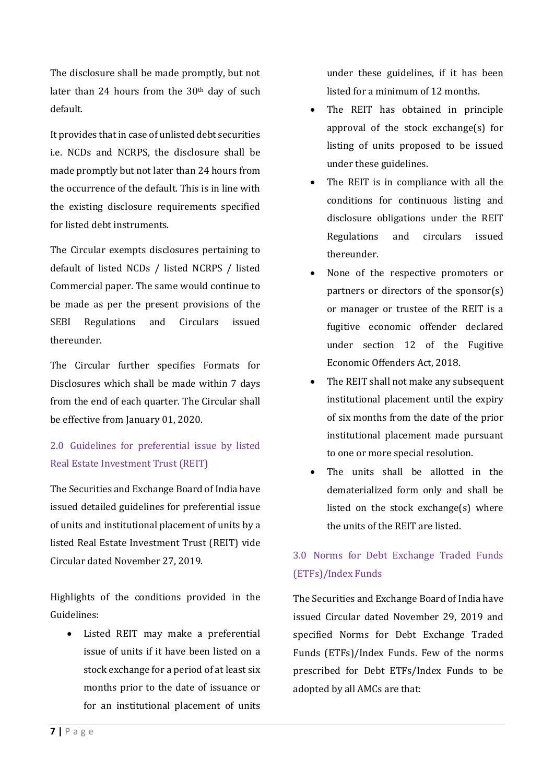The disclosure shall be made promptly, but not later than 24 hours from the 30<sup>th</sup> day of such default.

It provides that in case of unlisted debt securities i.e. NCDs and NCRPS, the disclosure shall be made promptly but not later than 24 hours from the occurrence of the default. This is in line with the existing disclosure requirements specified for listed debt instruments.

The Circular exempts disclosures pertaining to default of listed NCDs / listed NCRPS / listed Commercial paper. The same would continue to be made as per the present provisions of the SEBI Regulations and Circulars issued thereunder.

The Circular further specifies Formats for Disclosures which shall be made within 7 days from the end of each quarter. The Circular shall be effective from January 01, 2020.

# 2.0 Guidelines for preferential issue by listed Real Estate Investment Trust (REIT)

The Securities and Exchange Board of India have issued detailed guidelines for preferential issue of units and institutional placement of units by a listed Real Estate Investment Trust (REIT) vide Circular dated November 27, 2019.

Highlights of the conditions provided in the Guidelines:

• Listed REIT may make a preferential issue of units if it have been listed on a stock exchange for a period of at least six months prior to the date of issuance or for an institutional placement of units under these guidelines, if it has been listed for a minimum of 12 months.

- The REIT has obtained in principle approval of the stock exchange(s) for listing of units proposed to be issued under these guidelines.
- The REIT is in compliance with all the conditions for continuous listing and disclosure obligations under the REIT Regulations and circulars issued thereunder.
- None of the respective promoters or partners or directors of the sponsor(s) or manager or trustee of the REIT is a fugitive economic offender declared under section 12 of the Fugitive Economic Offenders Act, 2018.
- The REIT shall not make any subsequent institutional placement until the expiry of six months from the date of the prior institutional placement made pursuant to one or more special resolution.
- The units shall be allotted in the dematerialized form only and shall be listed on the stock exchange(s) where the units of the REIT are listed.

# 3.0 Norms for Debt Exchange Traded Funds (ETFs)/Index Funds

The Securities and Exchange Board of India have issued Circular dated November 29, 2019 and specified Norms for Debt Exchange Traded Funds (ETFs)/Index Funds. Few of the norms prescribed for Debt ETFs/Index Funds to be adopted by all AMCs are that: